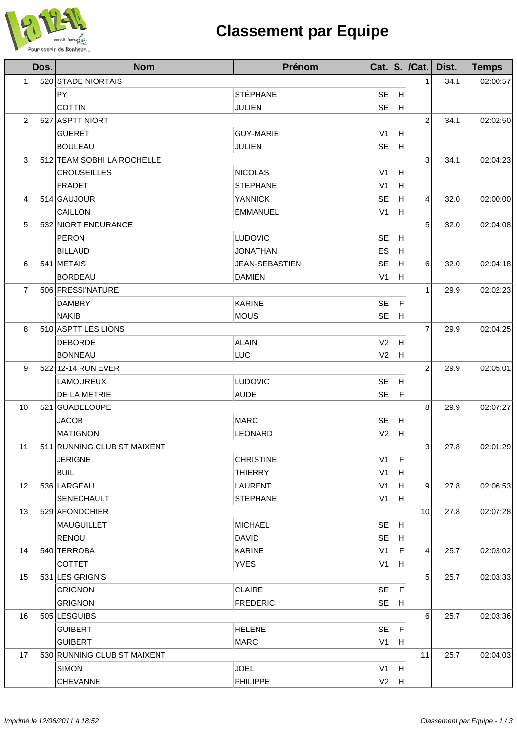

## **Classement par Equipe**

|                | Dos. | <b>Nom</b>                  | Prénom           |                |   | Cat. $\vert$ S. $\vert$ /Cat. | Dist. | <b>Temps</b> |
|----------------|------|-----------------------------|------------------|----------------|---|-------------------------------|-------|--------------|
| 1              |      | 520 STADE NIORTAIS          |                  |                |   | 1                             | 34.1  | 02:00:57     |
|                |      | <b>PY</b>                   | <b>STÉPHANE</b>  | <b>SE</b>      | H |                               |       |              |
|                |      | <b>COTTIN</b>               | <b>JULIEN</b>    | <b>SE</b>      | H |                               |       |              |
| $\overline{c}$ |      | 527 ASPTT NIORT             |                  |                |   | $\overline{2}$                | 34.1  | 02:02:50     |
|                |      | <b>GUERET</b>               | <b>GUY-MARIE</b> | V <sub>1</sub> | H |                               |       |              |
|                |      | <b>BOULEAU</b>              | <b>JULIEN</b>    | <b>SE</b>      | H |                               |       |              |
| 3              |      | 512 TEAM SOBHI LA ROCHELLE  |                  |                |   | 3                             | 34.1  | 02:04:23     |
|                |      | <b>CROUSEILLES</b>          | <b>NICOLAS</b>   | V <sub>1</sub> | H |                               |       |              |
|                |      | <b>FRADET</b>               | <b>STEPHANE</b>  | V <sub>1</sub> | H |                               |       |              |
| 4              |      | 514 GAUJOUR                 | <b>YANNICK</b>   | <b>SE</b>      | H | 4                             | 32.0  | 02:00:00     |
|                |      | CAILLON                     | <b>EMMANUEL</b>  | V <sub>1</sub> | H |                               |       |              |
| 5              |      | 532 NIORT ENDURANCE         |                  |                |   | 5                             | 32.0  | 02:04:08     |
|                |      | <b>PERON</b>                | <b>LUDOVIC</b>   | <b>SE</b>      | H |                               |       |              |
|                |      | <b>BILLAUD</b>              | <b>JONATHAN</b>  | ES             | H |                               |       |              |
| 6              |      | 541 METAIS                  | JEAN-SEBASTIEN   | <b>SE</b>      | Н | 6                             | 32.0  | 02:04:18     |
|                |      | <b>BORDEAU</b>              | <b>DAMIEN</b>    | V <sub>1</sub> | H |                               |       |              |
| 7              |      | 506 FRESSI'NATURE           |                  |                |   | $\mathbf{1}$                  | 29.9  | 02:02:23     |
|                |      | <b>DAMBRY</b>               | <b>KARINE</b>    | <b>SE</b>      | F |                               |       |              |
|                |      | <b>NAKIB</b>                | <b>MOUS</b>      | <b>SE</b>      | H |                               |       |              |
| 8              |      | 510 ASPTT LES LIONS         |                  |                |   | $\overline{7}$                | 29.9  | 02:04:25     |
|                |      | <b>DEBORDE</b>              | <b>ALAIN</b>     | V <sub>2</sub> | H |                               |       |              |
|                |      | <b>BONNEAU</b>              | LUC              | V <sub>2</sub> | H |                               |       |              |
| 9              |      | 522 12-14 RUN EVER          |                  |                |   | $\overline{2}$                | 29.9  | 02:05:01     |
|                |      | <b>LAMOUREUX</b>            | LUDOVIC          | <b>SE</b>      | H |                               |       |              |
|                |      | DE LA METRIE                | <b>AUDE</b>      | <b>SE</b>      | F |                               |       |              |
| 10             |      | 521 GUADELOUPE              |                  |                |   | 8                             | 29.9  | 02:07:27     |
|                |      | <b>JACOB</b>                | <b>MARC</b>      | <b>SE</b>      | H |                               |       |              |
|                |      | <b>MATIGNON</b>             | <b>LEONARD</b>   | V <sub>2</sub> | H |                               |       |              |
| 11             |      | 511 RUNNING CLUB ST MAIXENT |                  |                |   | $\overline{\mathbf{3}}$       | 27.8  | 02:01:29     |
|                |      | <b>JERIGNE</b>              | <b>CHRISTINE</b> | V <sub>1</sub> | F |                               |       |              |
|                |      | <b>BUIL</b>                 | <b>THIERRY</b>   | V <sub>1</sub> | H |                               |       |              |
| 12             |      | 536 LARGEAU                 | LAURENT          | V <sub>1</sub> | H | 9                             | 27.8  | 02:06:53     |
|                |      | SENECHAULT                  | <b>STEPHANE</b>  | V <sub>1</sub> | H |                               |       |              |
| 13             |      | 529 AFONDCHIER              |                  |                |   | 10                            | 27.8  | 02:07:28     |
|                |      | MAUGUILLET                  | <b>MICHAEL</b>   | <b>SE</b>      | H |                               |       |              |
|                |      | <b>RENOU</b>                | <b>DAVID</b>     | <b>SE</b>      | H |                               |       |              |
| 14             |      | 540 TERROBA                 | <b>KARINE</b>    | V <sub>1</sub> | F | 4                             | 25.7  | 02:03:02     |
|                |      | <b>COTTET</b>               | <b>YVES</b>      | V <sub>1</sub> | H |                               |       |              |
| 15             |      | 531 LES GRIGN'S             |                  |                |   | 5                             | 25.7  | 02:03:33     |
|                |      | <b>GRIGNON</b>              | <b>CLAIRE</b>    | <b>SE</b>      | F |                               |       |              |
|                |      | <b>GRIGNON</b>              | <b>FREDERIC</b>  | <b>SE</b>      | H |                               |       |              |
| 16             |      | 505 LESGUIBS                |                  |                |   | 6                             | 25.7  | 02:03:36     |
|                |      | <b>GUIBERT</b>              | <b>HELENE</b>    | <b>SE</b>      | F |                               |       |              |
|                |      | <b>GUIBERT</b>              | <b>MARC</b>      | V <sub>1</sub> | H |                               |       |              |
| 17             |      | 530 RUNNING CLUB ST MAIXENT |                  |                |   | 11                            | 25.7  | 02:04:03     |
|                |      | <b>SIMON</b>                | <b>JOEL</b>      | V <sub>1</sub> | H |                               |       |              |
|                |      | <b>CHEVANNE</b>             | PHILIPPE         | V <sub>2</sub> | H |                               |       |              |
|                |      |                             |                  |                |   |                               |       |              |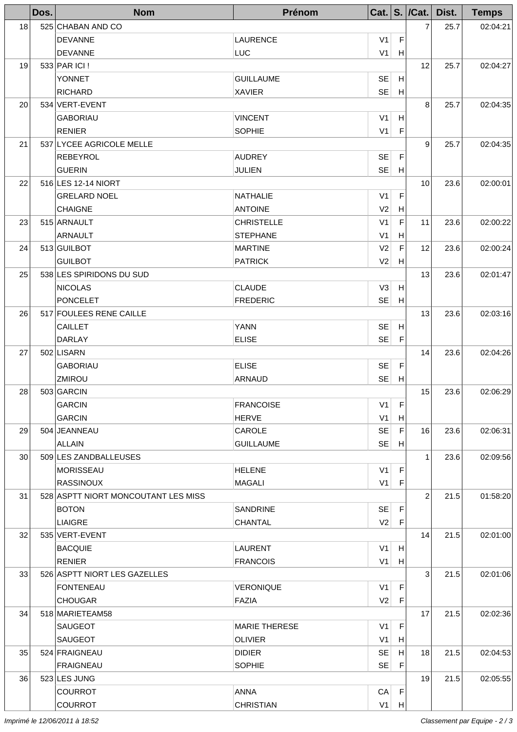|    | Dos. | <b>Nom</b>                          | Prénom               |                |             | Cat. $ S. /Cat. $ | Dist. | <b>Temps</b> |
|----|------|-------------------------------------|----------------------|----------------|-------------|-------------------|-------|--------------|
| 18 |      | 525 CHABAN AND CO                   |                      |                |             | 7                 | 25.7  | 02:04:21     |
|    |      | <b>DEVANNE</b>                      | <b>LAURENCE</b>      | V1             | F           |                   |       |              |
|    |      | <b>DEVANNE</b>                      | <b>LUC</b>           | V1             | H           |                   |       |              |
| 19 |      | 533 PAR ICI !                       |                      |                |             | 12                | 25.7  | 02:04:27     |
|    |      | <b>YONNET</b>                       | <b>GUILLAUME</b>     | <b>SE</b>      | H           |                   |       |              |
|    |      | <b>RICHARD</b>                      | <b>XAVIER</b>        | SE             | H           |                   |       |              |
| 20 |      | 534 VERT-EVENT                      |                      |                |             | 8                 | 25.7  | 02:04:35     |
|    |      | <b>GABORIAU</b>                     | <b>VINCENT</b>       | V <sub>1</sub> | H           |                   |       |              |
|    |      | <b>RENIER</b>                       | <b>SOPHIE</b>        | V1             | $\mathsf F$ |                   |       |              |
| 21 |      | 537 LYCEE AGRICOLE MELLE            |                      |                |             | 9                 | 25.7  | 02:04:35     |
|    |      | <b>REBEYROL</b>                     | <b>AUDREY</b>        | SE             | F           |                   |       |              |
|    |      | <b>GUERIN</b>                       | <b>JULIEN</b>        | SE             | H           |                   |       |              |
| 22 |      | 516 LES 12-14 NIORT                 |                      |                |             | 10                | 23.6  | 02:00:01     |
|    |      | <b>GRELARD NOEL</b>                 | <b>NATHALIE</b>      | V1             | F           |                   |       |              |
|    |      | <b>CHAIGNE</b>                      | <b>ANTOINE</b>       | V2             | H           |                   |       |              |
| 23 |      | 515 ARNAULT                         | <b>CHRISTELLE</b>    | V <sub>1</sub> | F           | 11                | 23.6  | 02:00:22     |
|    |      | <b>ARNAULT</b>                      | <b>STEPHANE</b>      | V <sub>1</sub> | H           |                   |       |              |
| 24 |      | 513 GUILBOT                         | <b>MARTINE</b>       | V <sub>2</sub> | F           | 12                | 23.6  | 02:00:24     |
|    |      | <b>GUILBOT</b>                      | <b>PATRICK</b>       | V2             | H           |                   |       |              |
| 25 |      | 538 LES SPIRIDONS DU SUD            |                      |                |             | 13                | 23.6  | 02:01:47     |
|    |      | <b>NICOLAS</b>                      | <b>CLAUDE</b>        | V3             | H           |                   |       |              |
|    |      | <b>PONCELET</b>                     | <b>FREDERIC</b>      | SE             | H           |                   |       |              |
| 26 |      | 517 FOULEES RENE CAILLE             |                      |                |             | 13                | 23.6  | 02:03:16     |
|    |      | <b>CAILLET</b>                      | <b>YANN</b>          | <b>SE</b>      | H           |                   |       |              |
|    |      | DARLAY                              | <b>ELISE</b>         | SE             | $\mathsf F$ |                   |       |              |
| 27 |      | 502 LISARN                          |                      |                |             | 14                | 23.6  | 02:04:26     |
|    |      | <b>GABORIAU</b>                     | <b>ELISE</b>         | <b>SE</b>      | F           |                   |       |              |
|    |      | ZMIROU                              | <b>ARNAUD</b>        | SE             | H           |                   |       |              |
| 28 |      | 503 GARCIN                          |                      |                |             | 15                | 23.6  | 02:06:29     |
|    |      | <b>GARCIN</b>                       | <b>FRANCOISE</b>     | V <sub>1</sub> | F           |                   |       |              |
|    |      | <b>GARCIN</b>                       | <b>HERVE</b>         | V1             | H           |                   |       |              |
| 29 |      | 504 JEANNEAU                        | <b>CAROLE</b>        | SE             | F           | 16                | 23.6  | 02:06:31     |
|    |      | <b>ALLAIN</b>                       | <b>GUILLAUME</b>     | SE             | H           |                   |       |              |
| 30 |      | 509 LES ZANDBALLEUSES               |                      |                |             | $\mathbf{1}$      | 23.6  | 02:09:56     |
|    |      | MORISSEAU                           | <b>HELENE</b>        | V1             | F           |                   |       |              |
|    |      | <b>RASSINOUX</b>                    | <b>MAGALI</b>        | V1             | F           |                   |       |              |
| 31 |      | 528 ASPTT NIORT MONCOUTANT LES MISS |                      |                |             | $\overline{2}$    | 21.5  | 01:58:20     |
|    |      | <b>BOTON</b>                        | <b>SANDRINE</b>      | SE             | F           |                   |       |              |
|    |      | <b>LIAIGRE</b>                      | <b>CHANTAL</b>       | V2             | F           |                   |       |              |
| 32 |      | 535 VERT-EVENT                      |                      |                |             | 14                | 21.5  | 02:01:00     |
|    |      | <b>BACQUIE</b>                      | <b>LAURENT</b>       | V1             | H           |                   |       |              |
|    |      | <b>RENIER</b>                       | <b>FRANCOIS</b>      | V1             | H           |                   |       |              |
| 33 |      | 526 ASPTT NIORT LES GAZELLES        |                      |                |             | 3                 | 21.5  | 02:01:06     |
|    |      | <b>FONTENEAU</b>                    | <b>VERONIQUE</b>     | V1             | F           |                   |       |              |
|    |      | <b>CHOUGAR</b>                      | <b>FAZIA</b>         | V2             | F           |                   |       |              |
| 34 |      | 518 MARIETEAM58                     |                      |                |             | 17                | 21.5  | 02:02:36     |
|    |      | <b>SAUGEOT</b>                      | <b>MARIE THERESE</b> | V1             | F           |                   |       |              |
|    |      | <b>SAUGEOT</b>                      | <b>OLIVIER</b>       | V1             | H           |                   |       |              |
| 35 |      | 524 FRAIGNEAU                       | <b>DIDIER</b>        | <b>SE</b>      | H           | 18                | 21.5  | 02:04:53     |
|    |      | <b>FRAIGNEAU</b>                    | <b>SOPHIE</b>        | SE             | F           |                   |       |              |
| 36 |      | 523 LES JUNG                        |                      |                |             | 19                | 21.5  | 02:05:55     |
|    |      | <b>COURROT</b>                      | <b>ANNA</b>          | CA             | F           |                   |       |              |
|    |      | <b>COURROT</b>                      | <b>CHRISTIAN</b>     | V1             | H           |                   |       |              |